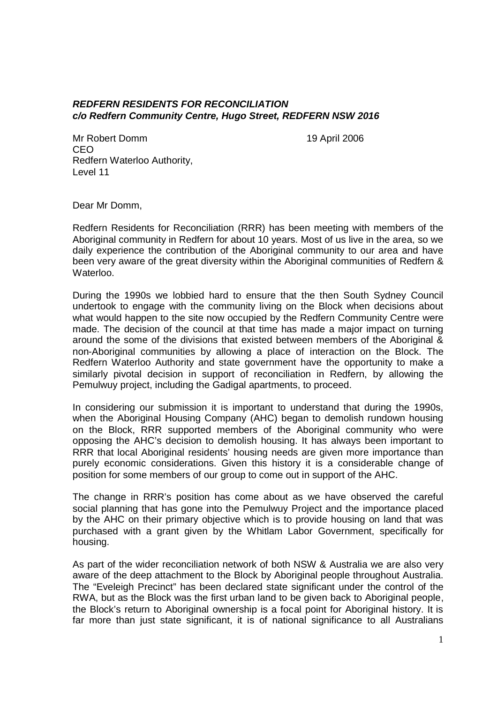## *REDFERN RESIDENTS FOR RECONCILIATION c/o Redfern Community Centre, Hugo Street, REDFERN NSW 2016*

Mr Robert Domm 19 April 2006 CEO Redfern Waterloo Authority, Level 11

Dear Mr Domm,

Redfern Residents for Reconciliation (RRR) has been meeting with members of the Aboriginal community in Redfern for about 10 years. Most of us live in the area, so we daily experience the contribution of the Aboriginal community to our area and have been very aware of the great diversity within the Aboriginal communities of Redfern & Waterloo.

During the 1990s we lobbied hard to ensure that the then South Sydney Council undertook to engage with the community living on the Block when decisions about what would happen to the site now occupied by the Redfern Community Centre were made. The decision of the council at that time has made a major impact on turning around the some of the divisions that existed between members of the Aboriginal & non-Aboriginal communities by allowing a place of interaction on the Block. The Redfern Waterloo Authority and state government have the opportunity to make a similarly pivotal decision in support of reconciliation in Redfern, by allowing the Pemulwuy project, including the Gadigal apartments, to proceed.

In considering our submission it is important to understand that during the 1990s, when the Aboriginal Housing Company (AHC) began to demolish rundown housing on the Block, RRR supported members of the Aboriginal community who were opposing the AHC's decision to demolish housing. It has always been important to RRR that local Aboriginal residents' housing needs are given more importance than purely economic considerations. Given this history it is a considerable change of position for some members of our group to come out in support of the AHC.

The change in RRR's position has come about as we have observed the careful social planning that has gone into the Pemulwuy Project and the importance placed by the AHC on their primary objective which is to provide housing on land that was purchased with a grant given by the Whitlam Labor Government, specifically for housing.

As part of the wider reconciliation network of both NSW & Australia we are also very aware of the deep attachment to the Block by Aboriginal people throughout Australia. The "Eveleigh Precinct" has been declared state significant under the control of the RWA, but as the Block was the first urban land to be given back to Aboriginal people, the Block's return to Aboriginal ownership is a focal point for Aboriginal history. It is far more than just state significant, it is of national significance to all Australians